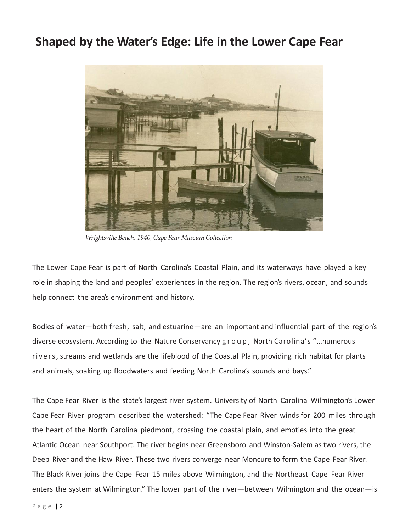## **Shaped by the Water's Edge: Life in the Lower Cape Fear**



Wrightsville Beach, 1940, Cape Fear Museum Collection

The Lower Cape Fear is part of North Carolina's Coastal Plain, and its waterways have played a key role in shaping the land and peoples' experiences in the region. The region's rivers, ocean, and sounds help connect the area's environment and history.

Bodies of water—both fresh, salt, and estuarine—are an important and influential part of the region's diverse ecosystem. According to the Nature Conservancy g r o u p , North Carolina's "…numerous rivers, streams and wetlands are the lifeblood of the Coastal Plain, providing rich habitat for plants and animals, soaking up floodwaters and feeding North Carolina's sounds and bays."

The Cape Fear River is the state's largest river system. University of North Carolina Wilmington's Lower Cape Fear River program described the watershed: "The Cape Fear River winds for 200 miles through the heart of the North Carolina piedmont, crossing the coastal plain, and empties into the great Atlantic Ocean near Southport. The river begins near Greensboro and Winston-Salem as two rivers, the Deep River and the Haw River. These two rivers converge near Moncure to form the Cape Fear River. The Black River joins the Cape Fear 15 miles above Wilmington, and the Northeast Cape Fear River enters the system at Wilmington." The lower part of the river—between Wilmington and the ocean—is